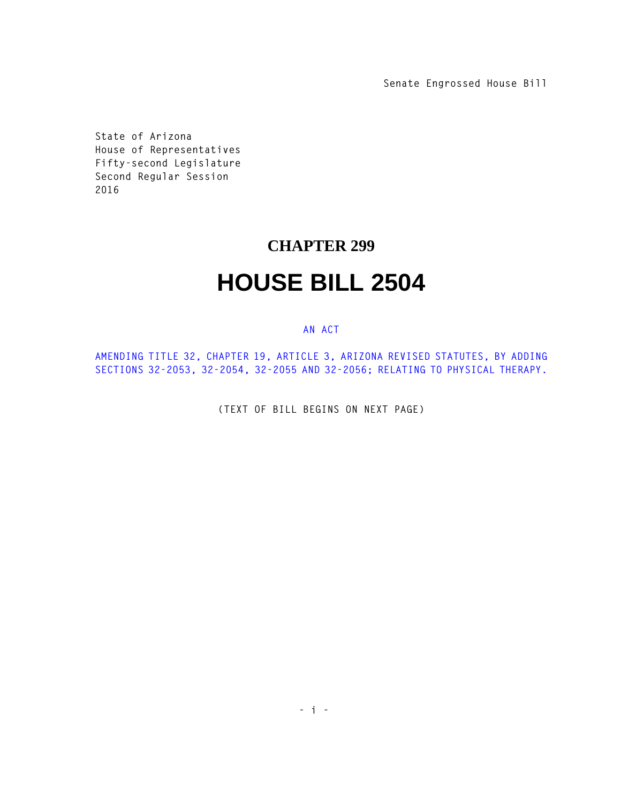**Senate Engrossed House Bill**

**State of Arizona House of Representatives Fifty-second Legislature Second Regular Session 2016** 

## **CHAPTER 299**

## **HOUSE BILL 2504**

## **AN ACT**

**AMENDING TITLE 32, CHAPTER 19, ARTICLE 3, ARIZONA REVISED STATUTES, BY ADDING SECTIONS 32-2053, 32-2054, 32-2055 AND 32-2056; RELATING TO PHYSICAL THERAPY.** 

**(TEXT OF BILL BEGINS ON NEXT PAGE)**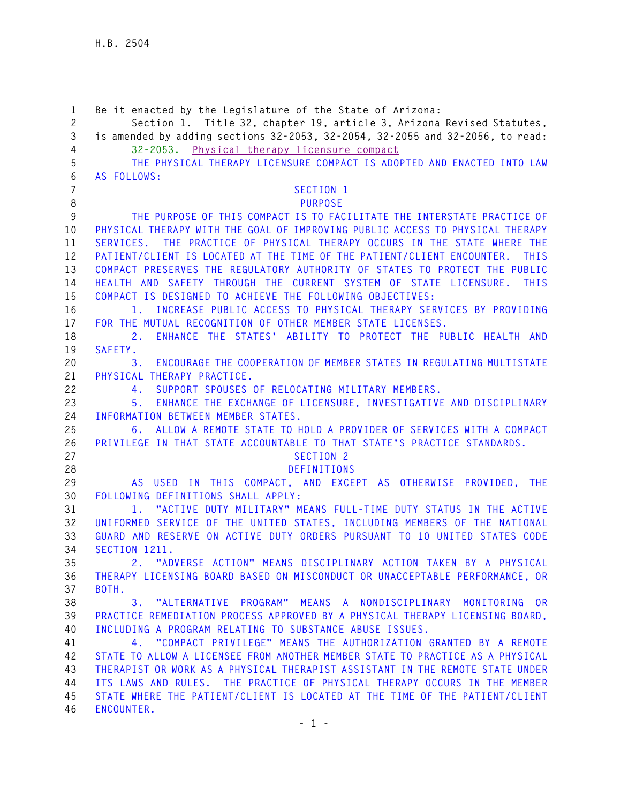**1 Be it enacted by the Legislature of the State of Arizona: 2 Section 1. Title 32, chapter 19, article 3, Arizona Revised Statutes, 3 is amended by adding sections 32-2053, 32-2054, 32-2055 and 32-2056, to read: 4 32-2053. Physical therapy licensure compact 5 THE PHYSICAL THERAPY LICENSURE COMPACT IS ADOPTED AND ENACTED INTO LAW 6 AS FOLLOWS: 7 SECTION 1 8 PURPOSE 9 THE PURPOSE OF THIS COMPACT IS TO FACILITATE THE INTERSTATE PRACTICE OF 10 PHYSICAL THERAPY WITH THE GOAL OF IMPROVING PUBLIC ACCESS TO PHYSICAL THERAPY 11 SERVICES. THE PRACTICE OF PHYSICAL THERAPY OCCURS IN THE STATE WHERE THE 12 PATIENT/CLIENT IS LOCATED AT THE TIME OF THE PATIENT/CLIENT ENCOUNTER. THIS 13 COMPACT PRESERVES THE REGULATORY AUTHORITY OF STATES TO PROTECT THE PUBLIC 14 HEALTH AND SAFETY THROUGH THE CURRENT SYSTEM OF STATE LICENSURE. THIS 15 COMPACT IS DESIGNED TO ACHIEVE THE FOLLOWING OBJECTIVES: 16 1. INCREASE PUBLIC ACCESS TO PHYSICAL THERAPY SERVICES BY PROVIDING 17 FOR THE MUTUAL RECOGNITION OF OTHER MEMBER STATE LICENSES. 18 2. ENHANCE THE STATES' ABILITY TO PROTECT THE PUBLIC HEALTH AND 19 SAFETY. 20 3. ENCOURAGE THE COOPERATION OF MEMBER STATES IN REGULATING MULTISTATE 21 PHYSICAL THERAPY PRACTICE. 22 4. SUPPORT SPOUSES OF RELOCATING MILITARY MEMBERS. 23 5. ENHANCE THE EXCHANGE OF LICENSURE, INVESTIGATIVE AND DISCIPLINARY 24 INFORMATION BETWEEN MEMBER STATES. 25 6. ALLOW A REMOTE STATE TO HOLD A PROVIDER OF SERVICES WITH A COMPACT 26 PRIVILEGE IN THAT STATE ACCOUNTABLE TO THAT STATE'S PRACTICE STANDARDS. 27 SECTION 2 28 DEFINITIONS 29 AS USED IN THIS COMPACT, AND EXCEPT AS OTHERWISE PROVIDED, THE 30 FOLLOWING DEFINITIONS SHALL APPLY: 31 1. "ACTIVE DUTY MILITARY" MEANS FULL-TIME DUTY STATUS IN THE ACTIVE 32 UNIFORMED SERVICE OF THE UNITED STATES, INCLUDING MEMBERS OF THE NATIONAL 33 GUARD AND RESERVE ON ACTIVE DUTY ORDERS PURSUANT TO 10 UNITED STATES CODE 34 SECTION 1211. 35 2. "ADVERSE ACTION" MEANS DISCIPLINARY ACTION TAKEN BY A PHYSICAL 36 THERAPY LICENSING BOARD BASED ON MISCONDUCT OR UNACCEPTABLE PERFORMANCE, OR 37 BOTH. 38 3. "ALTERNATIVE PROGRAM" MEANS A NONDISCIPLINARY MONITORING OR 39 PRACTICE REMEDIATION PROCESS APPROVED BY A PHYSICAL THERAPY LICENSING BOARD, 40 INCLUDING A PROGRAM RELATING TO SUBSTANCE ABUSE ISSUES. 41 4. "COMPACT PRIVILEGE" MEANS THE AUTHORIZATION GRANTED BY A REMOTE 42 STATE TO ALLOW A LICENSEE FROM ANOTHER MEMBER STATE TO PRACTICE AS A PHYSICAL 43 THERAPIST OR WORK AS A PHYSICAL THERAPIST ASSISTANT IN THE REMOTE STATE UNDER 44 ITS LAWS AND RULES. THE PRACTICE OF PHYSICAL THERAPY OCCURS IN THE MEMBER 45 STATE WHERE THE PATIENT/CLIENT IS LOCATED AT THE TIME OF THE PATIENT/CLIENT 46 ENCOUNTER.**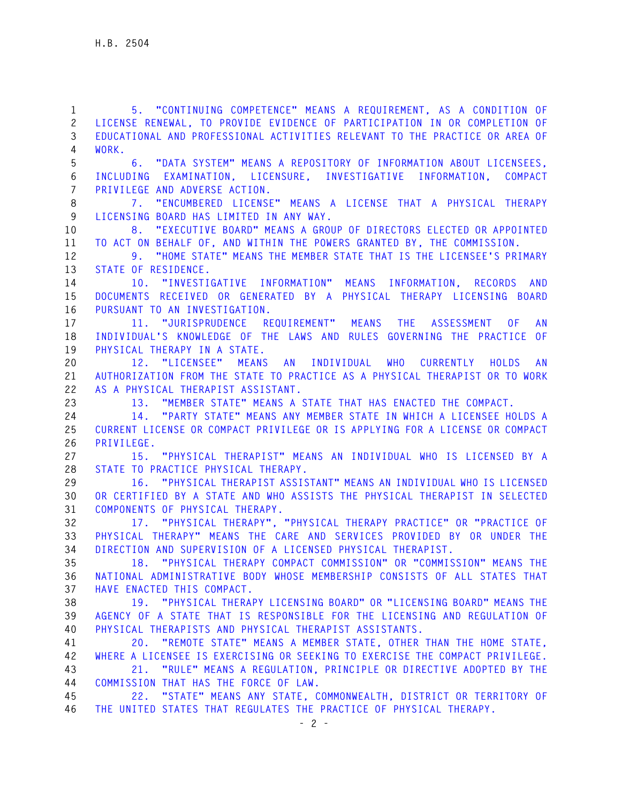**1 5. "CONTINUING COMPETENCE" MEANS A REQUIREMENT, AS A CONDITION OF 2 LICENSE RENEWAL, TO PROVIDE EVIDENCE OF PARTICIPATION IN OR COMPLETION OF 3 EDUCATIONAL AND PROFESSIONAL ACTIVITIES RELEVANT TO THE PRACTICE OR AREA OF 4 WORK. 5 6. "DATA SYSTEM" MEANS A REPOSITORY OF INFORMATION ABOUT LICENSEES, 6 INCLUDING EXAMINATION, LICENSURE, INVESTIGATIVE INFORMATION, COMPACT 7 PRIVILEGE AND ADVERSE ACTION. 8 7. "ENCUMBERED LICENSE" MEANS A LICENSE THAT A PHYSICAL THERAPY 9 LICENSING BOARD HAS LIMITED IN ANY WAY. 10 8. "EXECUTIVE BOARD" MEANS A GROUP OF DIRECTORS ELECTED OR APPOINTED 11 TO ACT ON BEHALF OF, AND WITHIN THE POWERS GRANTED BY, THE COMMISSION. 12 9. "HOME STATE" MEANS THE MEMBER STATE THAT IS THE LICENSEE'S PRIMARY 13 STATE OF RESIDENCE. 14 10. "INVESTIGATIVE INFORMATION" MEANS INFORMATION, RECORDS AND 15 DOCUMENTS RECEIVED OR GENERATED BY A PHYSICAL THERAPY LICENSING BOARD 16 PURSUANT TO AN INVESTIGATION. 17 11. "JURISPRUDENCE REQUIREMENT" MEANS THE ASSESSMENT OF AN 18 INDIVIDUAL'S KNOWLEDGE OF THE LAWS AND RULES GOVERNING THE PRACTICE OF 19 PHYSICAL THERAPY IN A STATE. 20 12. "LICENSEE" MEANS AN INDIVIDUAL WHO CURRENTLY HOLDS AN 21 AUTHORIZATION FROM THE STATE TO PRACTICE AS A PHYSICAL THERAPIST OR TO WORK 22 AS A PHYSICAL THERAPIST ASSISTANT. 23 13. "MEMBER STATE" MEANS A STATE THAT HAS ENACTED THE COMPACT. 24 14. "PARTY STATE" MEANS ANY MEMBER STATE IN WHICH A LICENSEE HOLDS A 25 CURRENT LICENSE OR COMPACT PRIVILEGE OR IS APPLYING FOR A LICENSE OR COMPACT 26 PRIVILEGE. 27 15. "PHYSICAL THERAPIST" MEANS AN INDIVIDUAL WHO IS LICENSED BY A 28 STATE TO PRACTICE PHYSICAL THERAPY. 29 16. "PHYSICAL THERAPIST ASSISTANT" MEANS AN INDIVIDUAL WHO IS LICENSED 30 OR CERTIFIED BY A STATE AND WHO ASSISTS THE PHYSICAL THERAPIST IN SELECTED 31 COMPONENTS OF PHYSICAL THERAPY. 32 17. "PHYSICAL THERAPY", "PHYSICAL THERAPY PRACTICE" OR "PRACTICE OF 33 PHYSICAL THERAPY" MEANS THE CARE AND SERVICES PROVIDED BY OR UNDER THE 34 DIRECTION AND SUPERVISION OF A LICENSED PHYSICAL THERAPIST. 35 18. "PHYSICAL THERAPY COMPACT COMMISSION" OR "COMMISSION" MEANS THE 36 NATIONAL ADMINISTRATIVE BODY WHOSE MEMBERSHIP CONSISTS OF ALL STATES THAT 37 HAVE ENACTED THIS COMPACT. 38 19. "PHYSICAL THERAPY LICENSING BOARD" OR "LICENSING BOARD" MEANS THE 39 AGENCY OF A STATE THAT IS RESPONSIBLE FOR THE LICENSING AND REGULATION OF 40 PHYSICAL THERAPISTS AND PHYSICAL THERAPIST ASSISTANTS. 41 20. "REMOTE STATE" MEANS A MEMBER STATE, OTHER THAN THE HOME STATE, 42 WHERE A LICENSEE IS EXERCISING OR SEEKING TO EXERCISE THE COMPACT PRIVILEGE. 43 21. "RULE" MEANS A REGULATION, PRINCIPLE OR DIRECTIVE ADOPTED BY THE 44 COMMISSION THAT HAS THE FORCE OF LAW. 45 22. "STATE" MEANS ANY STATE, COMMONWEALTH, DISTRICT OR TERRITORY OF 46 THE UNITED STATES THAT REGULATES THE PRACTICE OF PHYSICAL THERAPY.**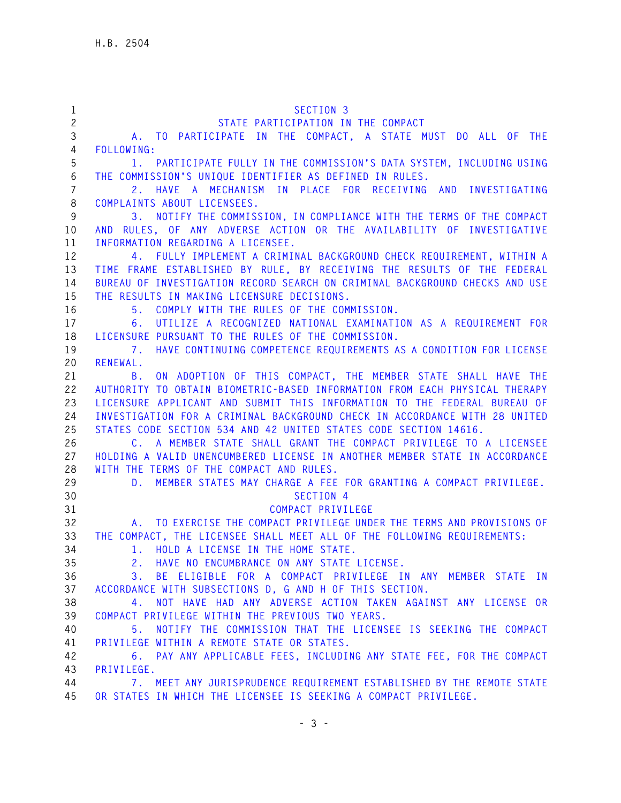| $\mathbf{1}$   | SECTION 3                                                                                                                  |
|----------------|----------------------------------------------------------------------------------------------------------------------------|
| $\mathbf{2}$   | STATE PARTICIPATION IN THE COMPACT                                                                                         |
| 3              | A. TO PARTICIPATE IN THE COMPACT, A STATE MUST DO ALL OF THE                                                               |
| 4              | FOLLOWING:                                                                                                                 |
| 5              | 1. PARTICIPATE FULLY IN THE COMMISSION'S DATA SYSTEM, INCLUDING USING                                                      |
| 6              | THE COMMISSION'S UNIQUE IDENTIFIER AS DEFINED IN RULES.                                                                    |
| $\overline{7}$ | 2. HAVE A MECHANISM IN PLACE FOR RECEIVING AND INVESTIGATING                                                               |
| 8              | COMPLAINTS ABOUT LICENSEES.                                                                                                |
| 9              | 3. NOTIFY THE COMMISSION, IN COMPLIANCE WITH THE TERMS OF THE COMPACT                                                      |
| 10             | AND RULES, OF ANY ADVERSE ACTION OR THE AVAILABILITY OF INVESTIGATIVE                                                      |
| 11             | INFORMATION REGARDING A LICENSEE.                                                                                          |
| 12             | 4. FULLY IMPLEMENT A CRIMINAL BACKGROUND CHECK REQUIREMENT, WITHIN A                                                       |
| 13             | TIME FRAME ESTABLISHED BY RULE, BY RECEIVING THE RESULTS OF THE FEDERAL                                                    |
| 14             | BUREAU OF INVESTIGATION RECORD SEARCH ON CRIMINAL BACKGROUND CHECKS AND USE                                                |
| 15             | THE RESULTS IN MAKING LICENSURE DECISIONS.                                                                                 |
| 16             | 5. COMPLY WITH THE RULES OF THE COMMISSION.                                                                                |
| 17<br>18       | UTILIZE A RECOGNIZED NATIONAL EXAMINATION AS A REQUIREMENT FOR<br>6.<br>LICENSURE PURSUANT TO THE RULES OF THE COMMISSION. |
| 19             | HAVE CONTINUING COMPETENCE REQUIREMENTS AS A CONDITION FOR LICENSE<br>7.                                                   |
| 20             | RENEWAL.                                                                                                                   |
| 21             | ON ADOPTION OF THIS COMPACT, THE MEMBER STATE SHALL HAVE THE<br><b>B</b> .                                                 |
| 22             | AUTHORITY TO OBTAIN BIOMETRIC-BASED INFORMATION FROM EACH PHYSICAL THERAPY                                                 |
| 23             | LICENSURE APPLICANT AND SUBMIT THIS INFORMATION TO THE FEDERAL BUREAU OF                                                   |
| 24             | INVESTIGATION FOR A CRIMINAL BACKGROUND CHECK IN ACCORDANCE WITH 28 UNITED                                                 |
| 25             | STATES CODE SECTION 534 AND 42 UNITED STATES CODE SECTION 14616.                                                           |
| 26             | C. A MEMBER STATE SHALL GRANT THE COMPACT PRIVILEGE TO A LICENSEE                                                          |
| 27             | HOLDING A VALID UNENCUMBERED LICENSE IN ANOTHER MEMBER STATE IN ACCORDANCE                                                 |
| 28             | WITH THE TERMS OF THE COMPACT AND RULES.                                                                                   |
| 29             | MEMBER STATES MAY CHARGE A FEE FOR GRANTING A COMPACT PRIVILEGE.<br>D.                                                     |
| 30             | SECTION 4                                                                                                                  |
| 31             | COMPACT PRIVILEGE                                                                                                          |
| 32             | A. TO EXERCISE THE COMPACT PRIVILEGE UNDER THE TERMS AND PROVISIONS OF                                                     |
| 33             | THE COMPACT, THE LICENSEE SHALL MEET ALL OF THE FOLLOWING REQUIREMENTS:                                                    |
| 34             | HOLD A LICENSE IN THE HOME STATE.<br>1.                                                                                    |
| 35             | 2. HAVE NO ENCUMBRANCE ON ANY STATE LICENSE.                                                                               |
| 36             | BE ELIGIBLE FOR A COMPACT PRIVILEGE IN ANY MEMBER STATE IN<br>3.                                                           |
| 37             | ACCORDANCE WITH SUBSECTIONS D, G AND H OF THIS SECTION.                                                                    |
| 38             | 4. NOT HAVE HAD ANY ADVERSE ACTION TAKEN AGAINST ANY LICENSE OR                                                            |
| 39             | COMPACT PRIVILEGE WITHIN THE PREVIOUS TWO YEARS.                                                                           |
| 40             | NOTIFY THE COMMISSION THAT THE LICENSEE IS SEEKING THE COMPACT<br>5.                                                       |
| 41             | PRIVILEGE WITHIN A REMOTE STATE OR STATES.                                                                                 |
| 42             | 6. PAY ANY APPLICABLE FEES, INCLUDING ANY STATE FEE, FOR THE COMPACT                                                       |
| 43             | PRIVILEGE.                                                                                                                 |
| 44             | 7. MEET ANY JURISPRUDENCE REQUIREMENT ESTABLISHED BY THE REMOTE STATE                                                      |
| 45             | OR STATES IN WHICH THE LICENSEE IS SEEKING A COMPACT PRIVILEGE.                                                            |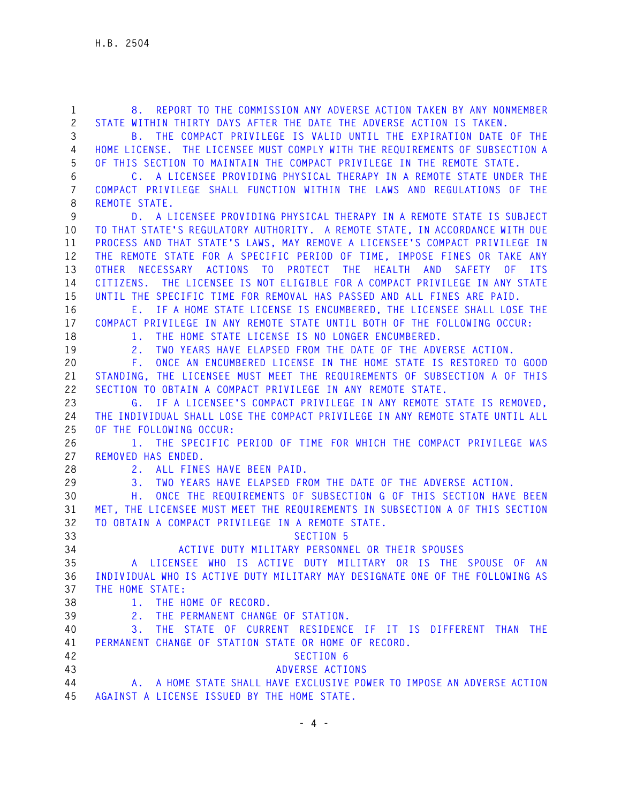| $\mathbf{1}$<br>$\mathbf{2}$ | REPORT TO THE COMMISSION ANY ADVERSE ACTION TAKEN BY ANY NONMEMBER<br>8.<br>STATE WITHIN THIRTY DAYS AFTER THE DATE THE ADVERSE ACTION IS TAKEN. |
|------------------------------|--------------------------------------------------------------------------------------------------------------------------------------------------|
| 3                            | THE COMPACT PRIVILEGE IS VALID UNTIL THE EXPIRATION DATE OF THE<br>В.                                                                            |
| 4                            | HOME LICENSE. THE LICENSEE MUST COMPLY WITH THE REQUIREMENTS OF SUBSECTION A                                                                     |
| 5                            | OF THIS SECTION TO MAINTAIN THE COMPACT PRIVILEGE IN THE REMOTE STATE.                                                                           |
|                              |                                                                                                                                                  |
| 6                            | C. A LICENSEE PROVIDING PHYSICAL THERAPY IN A REMOTE STATE UNDER THE                                                                             |
| $\overline{7}$               | COMPACT PRIVILEGE SHALL FUNCTION WITHIN THE LAWS AND REGULATIONS OF THE                                                                          |
| 8                            | REMOTE STATE.                                                                                                                                    |
| 9                            | D. A LICENSEE PROVIDING PHYSICAL THERAPY IN A REMOTE STATE IS SUBJECT                                                                            |
| 10                           | TO THAT STATE'S REGULATORY AUTHORITY. A REMOTE STATE, IN ACCORDANCE WITH DUE                                                                     |
| 11                           | PROCESS AND THAT STATE'S LAWS, MAY REMOVE A LICENSEE'S COMPACT PRIVILEGE IN                                                                      |
| 12                           | THE REMOTE STATE FOR A SPECIFIC PERIOD OF TIME, IMPOSE FINES OR TAKE ANY                                                                         |
| 13                           | OTHER NECESSARY ACTIONS TO PROTECT THE HEALTH AND<br>SAFETY<br>0F<br><b>ITS</b>                                                                  |
| 14                           | THE LICENSEE IS NOT ELIGIBLE FOR A COMPACT PRIVILEGE IN ANY STATE<br>CITIZENS.                                                                   |
| 15                           | UNTIL THE SPECIFIC TIME FOR REMOVAL HAS PASSED AND ALL FINES ARE PAID.                                                                           |
| 16                           | E. IF A HOME STATE LICENSE IS ENCUMBERED, THE LICENSEE SHALL LOSE THE                                                                            |
| 17                           | COMPACT PRIVILEGE IN ANY REMOTE STATE UNTIL BOTH OF THE FOLLOWING OCCUR:                                                                         |
| 18                           | THE HOME STATE LICENSE IS NO LONGER ENCUMBERED.<br>1.                                                                                            |
| 19                           | TWO YEARS HAVE ELAPSED FROM THE DATE OF THE ADVERSE ACTION.<br>2.                                                                                |
| 20                           | ONCE AN ENCUMBERED LICENSE IN THE HOME STATE IS RESTORED TO GOOD<br>F.                                                                           |
| 21                           | STANDING, THE LICENSEE MUST MEET THE REQUIREMENTS OF SUBSECTION A OF THIS                                                                        |
| 22                           | SECTION TO OBTAIN A COMPACT PRIVILEGE IN ANY REMOTE STATE.                                                                                       |
| 23                           | G. IF A LICENSEE'S COMPACT PRIVILEGE IN ANY REMOTE STATE IS REMOVED,                                                                             |
| 24                           | THE INDIVIDUAL SHALL LOSE THE COMPACT PRIVILEGE IN ANY REMOTE STATE UNTIL ALL                                                                    |
| 25                           | OF THE FOLLOWING OCCUR:                                                                                                                          |
| 26                           | 1. THE SPECIFIC PERIOD OF TIME FOR WHICH THE COMPACT PRIVILEGE WAS                                                                               |
| 27                           | REMOVED HAS ENDED.                                                                                                                               |
| 28                           | 2. ALL FINES HAVE BEEN PAID.                                                                                                                     |
| 29                           | TWO YEARS HAVE ELAPSED FROM THE DATE OF THE ADVERSE ACTION.<br>3.                                                                                |
| 30                           | ONCE THE REQUIREMENTS OF SUBSECTION G OF THIS SECTION HAVE BEEN<br>Η.                                                                            |
| 31                           | MET, THE LICENSEE MUST MEET THE REQUIREMENTS IN SUBSECTION A OF THIS SECTION                                                                     |
| 32                           | TO OBTAIN A COMPACT PRIVILEGE IN A REMOTE STATE.                                                                                                 |
| 33                           | <b>SECTION 5</b>                                                                                                                                 |
| 34                           | ACTIVE DUTY MILITARY PERSONNEL OR THEIR SPOUSES                                                                                                  |
| 35                           | LICENSEE WHO IS ACTIVE DUTY MILITARY OR IS THE SPOUSE OF AN                                                                                      |
| 36                           | INDIVIDUAL WHO IS ACTIVE DUTY MILITARY MAY DESIGNATE ONE OF THE FOLLOWING AS                                                                     |
| 37                           | THE HOME STATE:                                                                                                                                  |
| 38                           | THE HOME OF RECORD.<br>1.                                                                                                                        |
| 39                           | THE PERMANENT CHANGE OF STATION.<br>2.                                                                                                           |
| 40                           | THE STATE OF CURRENT RESIDENCE IF IT IS DIFFERENT THAN<br>3.<br>THE                                                                              |
| 41                           | PERMANENT CHANGE OF STATION STATE OR HOME OF RECORD.                                                                                             |
| 42                           | SECTION 6                                                                                                                                        |
| 43                           | ADVERSE ACTIONS                                                                                                                                  |
| 44                           | A. A HOME STATE SHALL HAVE EXCLUSIVE POWER TO IMPOSE AN ADVERSE ACTION                                                                           |
| 45                           | AGAINST A LICENSE ISSUED BY THE HOME STATE.                                                                                                      |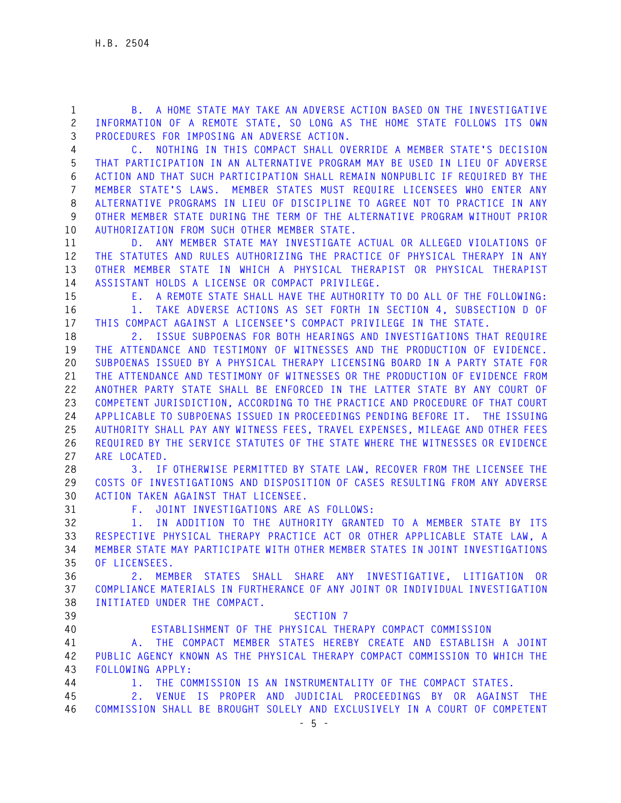**1 B. A HOME STATE MAY TAKE AN ADVERSE ACTION BASED ON THE INVESTIGATIVE 2 INFORMATION OF A REMOTE STATE, SO LONG AS THE HOME STATE FOLLOWS ITS OWN 3 PROCEDURES FOR IMPOSING AN ADVERSE ACTION.** 

**4 C. NOTHING IN THIS COMPACT SHALL OVERRIDE A MEMBER STATE'S DECISION 5 THAT PARTICIPATION IN AN ALTERNATIVE PROGRAM MAY BE USED IN LIEU OF ADVERSE 6 ACTION AND THAT SUCH PARTICIPATION SHALL REMAIN NONPUBLIC IF REQUIRED BY THE 7 MEMBER STATE'S LAWS. MEMBER STATES MUST REQUIRE LICENSEES WHO ENTER ANY 8 ALTERNATIVE PROGRAMS IN LIEU OF DISCIPLINE TO AGREE NOT TO PRACTICE IN ANY 9 OTHER MEMBER STATE DURING THE TERM OF THE ALTERNATIVE PROGRAM WITHOUT PRIOR 10 AUTHORIZATION FROM SUCH OTHER MEMBER STATE.** 

**11 D. ANY MEMBER STATE MAY INVESTIGATE ACTUAL OR ALLEGED VIOLATIONS OF 12 THE STATUTES AND RULES AUTHORIZING THE PRACTICE OF PHYSICAL THERAPY IN ANY 13 OTHER MEMBER STATE IN WHICH A PHYSICAL THERAPIST OR PHYSICAL THERAPIST 14 ASSISTANT HOLDS A LICENSE OR COMPACT PRIVILEGE.** 

**15 E. A REMOTE STATE SHALL HAVE THE AUTHORITY TO DO ALL OF THE FOLLOWING: 16 1. TAKE ADVERSE ACTIONS AS SET FORTH IN SECTION 4, SUBSECTION D OF 17 THIS COMPACT AGAINST A LICENSEE'S COMPACT PRIVILEGE IN THE STATE.** 

**18 2. ISSUE SUBPOENAS FOR BOTH HEARINGS AND INVESTIGATIONS THAT REQUIRE 19 THE ATTENDANCE AND TESTIMONY OF WITNESSES AND THE PRODUCTION OF EVIDENCE. 20 SUBPOENAS ISSUED BY A PHYSICAL THERAPY LICENSING BOARD IN A PARTY STATE FOR 21 THE ATTENDANCE AND TESTIMONY OF WITNESSES OR THE PRODUCTION OF EVIDENCE FROM 22 ANOTHER PARTY STATE SHALL BE ENFORCED IN THE LATTER STATE BY ANY COURT OF 23 COMPETENT JURISDICTION, ACCORDING TO THE PRACTICE AND PROCEDURE OF THAT COURT 24 APPLICABLE TO SUBPOENAS ISSUED IN PROCEEDINGS PENDING BEFORE IT. THE ISSUING 25 AUTHORITY SHALL PAY ANY WITNESS FEES, TRAVEL EXPENSES, MILEAGE AND OTHER FEES 26 REQUIRED BY THE SERVICE STATUTES OF THE STATE WHERE THE WITNESSES OR EVIDENCE 27 ARE LOCATED.** 

**28 3. IF OTHERWISE PERMITTED BY STATE LAW, RECOVER FROM THE LICENSEE THE 29 COSTS OF INVESTIGATIONS AND DISPOSITION OF CASES RESULTING FROM ANY ADVERSE 30 ACTION TAKEN AGAINST THAT LICENSEE.** 

**31 F. JOINT INVESTIGATIONS ARE AS FOLLOWS:** 

**32 1. IN ADDITION TO THE AUTHORITY GRANTED TO A MEMBER STATE BY ITS 33 RESPECTIVE PHYSICAL THERAPY PRACTICE ACT OR OTHER APPLICABLE STATE LAW, A 34 MEMBER STATE MAY PARTICIPATE WITH OTHER MEMBER STATES IN JOINT INVESTIGATIONS 35 OF LICENSEES.** 

**36 2. MEMBER STATES SHALL SHARE ANY INVESTIGATIVE, LITIGATION OR 37 COMPLIANCE MATERIALS IN FURTHERANCE OF ANY JOINT OR INDIVIDUAL INVESTIGATION 38 INITIATED UNDER THE COMPACT.** 

- **39 SECTION 7**
- 

**40 ESTABLISHMENT OF THE PHYSICAL THERAPY COMPACT COMMISSION** 

**41 A. THE COMPACT MEMBER STATES HEREBY CREATE AND ESTABLISH A JOINT 42 PUBLIC AGENCY KNOWN AS THE PHYSICAL THERAPY COMPACT COMMISSION TO WHICH THE 43 FOLLOWING APPLY:** 

**44 1. THE COMMISSION IS AN INSTRUMENTALITY OF THE COMPACT STATES.** 

**45 2. VENUE IS PROPER AND JUDICIAL PROCEEDINGS BY OR AGAINST THE 46 COMMISSION SHALL BE BROUGHT SOLELY AND EXCLUSIVELY IN A COURT OF COMPETENT**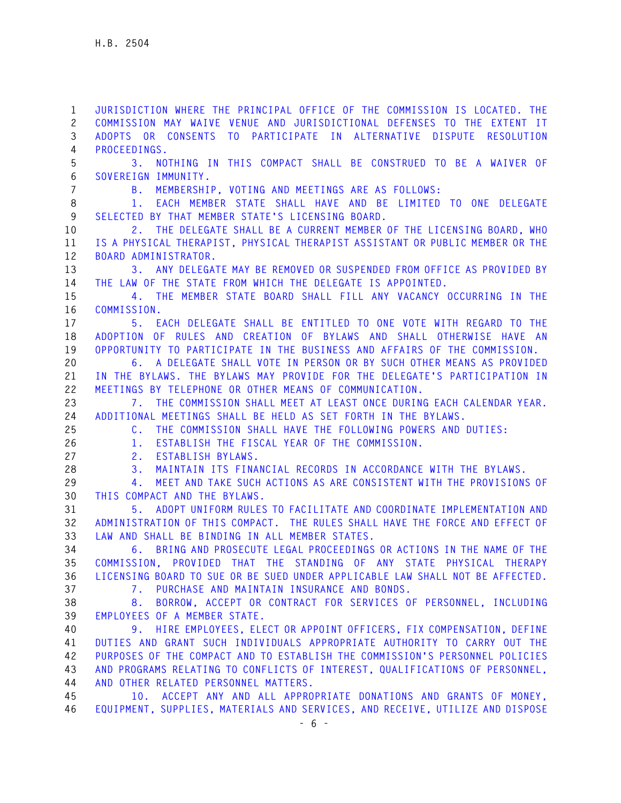**1 JURISDICTION WHERE THE PRINCIPAL OFFICE OF THE COMMISSION IS LOCATED. THE 2 COMMISSION MAY WAIVE VENUE AND JURISDICTIONAL DEFENSES TO THE EXTENT IT 3 ADOPTS OR CONSENTS TO PARTICIPATE IN ALTERNATIVE DISPUTE RESOLUTION 4 PROCEEDINGS. 5 3. NOTHING IN THIS COMPACT SHALL BE CONSTRUED TO BE A WAIVER OF 6 SOVEREIGN IMMUNITY. 7 B. MEMBERSHIP, VOTING AND MEETINGS ARE AS FOLLOWS: 8 1. EACH MEMBER STATE SHALL HAVE AND BE LIMITED TO ONE DELEGATE 9 SELECTED BY THAT MEMBER STATE'S LICENSING BOARD. 10 2. THE DELEGATE SHALL BE A CURRENT MEMBER OF THE LICENSING BOARD, WHO 11 IS A PHYSICAL THERAPIST, PHYSICAL THERAPIST ASSISTANT OR PUBLIC MEMBER OR THE 12 BOARD ADMINISTRATOR. 13 3. ANY DELEGATE MAY BE REMOVED OR SUSPENDED FROM OFFICE AS PROVIDED BY 14 THE LAW OF THE STATE FROM WHICH THE DELEGATE IS APPOINTED. 15 4. THE MEMBER STATE BOARD SHALL FILL ANY VACANCY OCCURRING IN THE 16 COMMISSION. 17 5. EACH DELEGATE SHALL BE ENTITLED TO ONE VOTE WITH REGARD TO THE 18 ADOPTION OF RULES AND CREATION OF BYLAWS AND SHALL OTHERWISE HAVE AN 19 OPPORTUNITY TO PARTICIPATE IN THE BUSINESS AND AFFAIRS OF THE COMMISSION. 20 6. A DELEGATE SHALL VOTE IN PERSON OR BY SUCH OTHER MEANS AS PROVIDED 21 IN THE BYLAWS. THE BYLAWS MAY PROVIDE FOR THE DELEGATE'S PARTICIPATION IN 22 MEETINGS BY TELEPHONE OR OTHER MEANS OF COMMUNICATION. 23 7. THE COMMISSION SHALL MEET AT LEAST ONCE DURING EACH CALENDAR YEAR. 24 ADDITIONAL MEETINGS SHALL BE HELD AS SET FORTH IN THE BYLAWS. 25 C. THE COMMISSION SHALL HAVE THE FOLLOWING POWERS AND DUTIES: 26 1. ESTABLISH THE FISCAL YEAR OF THE COMMISSION. 27 2. ESTABLISH BYLAWS. 28 3. MAINTAIN ITS FINANCIAL RECORDS IN ACCORDANCE WITH THE BYLAWS. 29 4. MEET AND TAKE SUCH ACTIONS AS ARE CONSISTENT WITH THE PROVISIONS OF 30 THIS COMPACT AND THE BYLAWS. 31 5. ADOPT UNIFORM RULES TO FACILITATE AND COORDINATE IMPLEMENTATION AND 32 ADMINISTRATION OF THIS COMPACT. THE RULES SHALL HAVE THE FORCE AND EFFECT OF 33 LAW AND SHALL BE BINDING IN ALL MEMBER STATES. 34 6. BRING AND PROSECUTE LEGAL PROCEEDINGS OR ACTIONS IN THE NAME OF THE 35 COMMISSION, PROVIDED THAT THE STANDING OF ANY STATE PHYSICAL THERAPY 36 LICENSING BOARD TO SUE OR BE SUED UNDER APPLICABLE LAW SHALL NOT BE AFFECTED. 37 7. PURCHASE AND MAINTAIN INSURANCE AND BONDS. 38 8. BORROW, ACCEPT OR CONTRACT FOR SERVICES OF PERSONNEL, INCLUDING 39 EMPLOYEES OF A MEMBER STATE. 40 9. HIRE EMPLOYEES, ELECT OR APPOINT OFFICERS, FIX COMPENSATION, DEFINE 41 DUTIES AND GRANT SUCH INDIVIDUALS APPROPRIATE AUTHORITY TO CARRY OUT THE 42 PURPOSES OF THE COMPACT AND TO ESTABLISH THE COMMISSION'S PERSONNEL POLICIES 43 AND PROGRAMS RELATING TO CONFLICTS OF INTEREST, QUALIFICATIONS OF PERSONNEL, 44 AND OTHER RELATED PERSONNEL MATTERS. 45 10. ACCEPT ANY AND ALL APPROPRIATE DONATIONS AND GRANTS OF MONEY, 46 EQUIPMENT, SUPPLIES, MATERIALS AND SERVICES, AND RECEIVE, UTILIZE AND DISPOSE**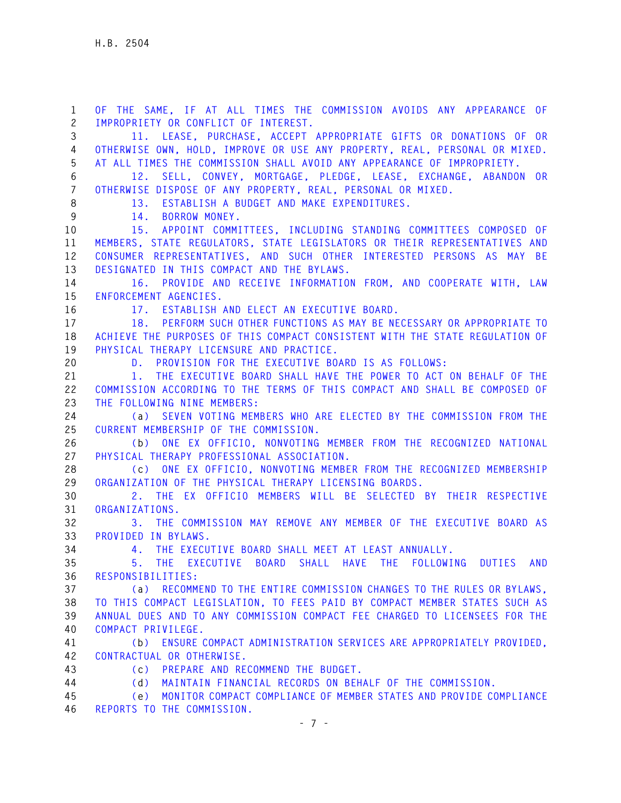**1 OF THE SAME, IF AT ALL TIMES THE COMMISSION AVOIDS ANY APPEARANCE OF 2 IMPROPRIETY OR CONFLICT OF INTEREST. 3 11. LEASE, PURCHASE, ACCEPT APPROPRIATE GIFTS OR DONATIONS OF OR 4 OTHERWISE OWN, HOLD, IMPROVE OR USE ANY PROPERTY, REAL, PERSONAL OR MIXED. 5 AT ALL TIMES THE COMMISSION SHALL AVOID ANY APPEARANCE OF IMPROPRIETY. 6 12. SELL, CONVEY, MORTGAGE, PLEDGE, LEASE, EXCHANGE, ABANDON OR 7 OTHERWISE DISPOSE OF ANY PROPERTY, REAL, PERSONAL OR MIXED. 8 13. ESTABLISH A BUDGET AND MAKE EXPENDITURES. 9 14. BORROW MONEY. 10 15. APPOINT COMMITTEES, INCLUDING STANDING COMMITTEES COMPOSED OF 11 MEMBERS, STATE REGULATORS, STATE LEGISLATORS OR THEIR REPRESENTATIVES AND 12 CONSUMER REPRESENTATIVES, AND SUCH OTHER INTERESTED PERSONS AS MAY BE 13 DESIGNATED IN THIS COMPACT AND THE BYLAWS. 14 16. PROVIDE AND RECEIVE INFORMATION FROM, AND COOPERATE WITH, LAW 15 ENFORCEMENT AGENCIES. 16 17. ESTABLISH AND ELECT AN EXECUTIVE BOARD. 17 18. PERFORM SUCH OTHER FUNCTIONS AS MAY BE NECESSARY OR APPROPRIATE TO 18 ACHIEVE THE PURPOSES OF THIS COMPACT CONSISTENT WITH THE STATE REGULATION OF 19 PHYSICAL THERAPY LICENSURE AND PRACTICE. 20 D. PROVISION FOR THE EXECUTIVE BOARD IS AS FOLLOWS: 21 1. THE EXECUTIVE BOARD SHALL HAVE THE POWER TO ACT ON BEHALF OF THE 22 COMMISSION ACCORDING TO THE TERMS OF THIS COMPACT AND SHALL BE COMPOSED OF 23 THE FOLLOWING NINE MEMBERS: 24 (a) SEVEN VOTING MEMBERS WHO ARE ELECTED BY THE COMMISSION FROM THE 25 CURRENT MEMBERSHIP OF THE COMMISSION. 26 (b) ONE EX OFFICIO, NONVOTING MEMBER FROM THE RECOGNIZED NATIONAL 27 PHYSICAL THERAPY PROFESSIONAL ASSOCIATION. 28 (c) ONE EX OFFICIO, NONVOTING MEMBER FROM THE RECOGNIZED MEMBERSHIP 29 ORGANIZATION OF THE PHYSICAL THERAPY LICENSING BOARDS. 30 2. THE EX OFFICIO MEMBERS WILL BE SELECTED BY THEIR RESPECTIVE 31 ORGANIZATIONS. 32 3. THE COMMISSION MAY REMOVE ANY MEMBER OF THE EXECUTIVE BOARD AS 33 PROVIDED IN BYLAWS. 34 4. THE EXECUTIVE BOARD SHALL MEET AT LEAST ANNUALLY. 35 5. THE EXECUTIVE BOARD SHALL HAVE THE FOLLOWING DUTIES AND 36 RESPONSIBILITIES: 37 (a) RECOMMEND TO THE ENTIRE COMMISSION CHANGES TO THE RULES OR BYLAWS, 38 TO THIS COMPACT LEGISLATION, TO FEES PAID BY COMPACT MEMBER STATES SUCH AS 39 ANNUAL DUES AND TO ANY COMMISSION COMPACT FEE CHARGED TO LICENSEES FOR THE 40 COMPACT PRIVILEGE. 41 (b) ENSURE COMPACT ADMINISTRATION SERVICES ARE APPROPRIATELY PROVIDED, 42 CONTRACTUAL OR OTHERWISE. 43 (c) PREPARE AND RECOMMEND THE BUDGET. 44 (d) MAINTAIN FINANCIAL RECORDS ON BEHALF OF THE COMMISSION. 45 (e) MONITOR COMPACT COMPLIANCE OF MEMBER STATES AND PROVIDE COMPLIANCE 46 REPORTS TO THE COMMISSION.**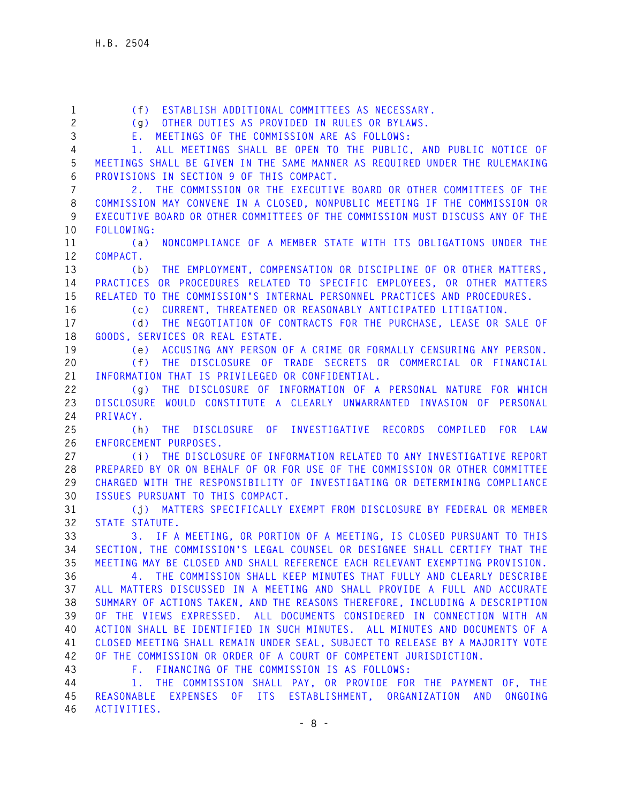**1 (f) ESTABLISH ADDITIONAL COMMITTEES AS NECESSARY. 2 (g) OTHER DUTIES AS PROVIDED IN RULES OR BYLAWS. 3 E. MEETINGS OF THE COMMISSION ARE AS FOLLOWS: 4 1. ALL MEETINGS SHALL BE OPEN TO THE PUBLIC, AND PUBLIC NOTICE OF 5 MEETINGS SHALL BE GIVEN IN THE SAME MANNER AS REQUIRED UNDER THE RULEMAKING 6 PROVISIONS IN SECTION 9 OF THIS COMPACT. 7 2. THE COMMISSION OR THE EXECUTIVE BOARD OR OTHER COMMITTEES OF THE 8 COMMISSION MAY CONVENE IN A CLOSED, NONPUBLIC MEETING IF THE COMMISSION OR 9 EXECUTIVE BOARD OR OTHER COMMITTEES OF THE COMMISSION MUST DISCUSS ANY OF THE 10 FOLLOWING: 11 (a) NONCOMPLIANCE OF A MEMBER STATE WITH ITS OBLIGATIONS UNDER THE 12 COMPACT. 13 (b) THE EMPLOYMENT, COMPENSATION OR DISCIPLINE OF OR OTHER MATTERS, 14 PRACTICES OR PROCEDURES RELATED TO SPECIFIC EMPLOYEES, OR OTHER MATTERS 15 RELATED TO THE COMMISSION'S INTERNAL PERSONNEL PRACTICES AND PROCEDURES. 16 (c) CURRENT, THREATENED OR REASONABLY ANTICIPATED LITIGATION. 17 (d) THE NEGOTIATION OF CONTRACTS FOR THE PURCHASE, LEASE OR SALE OF 18 GOODS, SERVICES OR REAL ESTATE. 19 (e) ACCUSING ANY PERSON OF A CRIME OR FORMALLY CENSURING ANY PERSON. 20 (f) THE DISCLOSURE OF TRADE SECRETS OR COMMERCIAL OR FINANCIAL 21 INFORMATION THAT IS PRIVILEGED OR CONFIDENTIAL. 22 (g) THE DISCLOSURE OF INFORMATION OF A PERSONAL NATURE FOR WHICH 23 DISCLOSURE WOULD CONSTITUTE A CLEARLY UNWARRANTED INVASION OF PERSONAL 24 PRIVACY. 25 (h) THE DISCLOSURE OF INVESTIGATIVE RECORDS COMPILED FOR LAW 26 ENFORCEMENT PURPOSES. 27 (i) THE DISCLOSURE OF INFORMATION RELATED TO ANY INVESTIGATIVE REPORT 28 PREPARED BY OR ON BEHALF OF OR FOR USE OF THE COMMISSION OR OTHER COMMITTEE 29 CHARGED WITH THE RESPONSIBILITY OF INVESTIGATING OR DETERMINING COMPLIANCE 30 ISSUES PURSUANT TO THIS COMPACT. 31 (j) MATTERS SPECIFICALLY EXEMPT FROM DISCLOSURE BY FEDERAL OR MEMBER 32 STATE STATUTE. 33 3. IF A MEETING, OR PORTION OF A MEETING, IS CLOSED PURSUANT TO THIS 34 SECTION, THE COMMISSION'S LEGAL COUNSEL OR DESIGNEE SHALL CERTIFY THAT THE 35 MEETING MAY BE CLOSED AND SHALL REFERENCE EACH RELEVANT EXEMPTING PROVISION. 36 4. THE COMMISSION SHALL KEEP MINUTES THAT FULLY AND CLEARLY DESCRIBE 37 ALL MATTERS DISCUSSED IN A MEETING AND SHALL PROVIDE A FULL AND ACCURATE 38 SUMMARY OF ACTIONS TAKEN, AND THE REASONS THEREFORE, INCLUDING A DESCRIPTION 39 OF THE VIEWS EXPRESSED. ALL DOCUMENTS CONSIDERED IN CONNECTION WITH AN 40 ACTION SHALL BE IDENTIFIED IN SUCH MINUTES. ALL MINUTES AND DOCUMENTS OF A 41 CLOSED MEETING SHALL REMAIN UNDER SEAL, SUBJECT TO RELEASE BY A MAJORITY VOTE 42 OF THE COMMISSION OR ORDER OF A COURT OF COMPETENT JURISDICTION. 43 F. FINANCING OF THE COMMISSION IS AS FOLLOWS: 44 1. THE COMMISSION SHALL PAY, OR PROVIDE FOR THE PAYMENT OF, THE 45 REASONABLE EXPENSES OF ITS ESTABLISHMENT, ORGANIZATION AND ONGOING 46 ACTIVITIES.**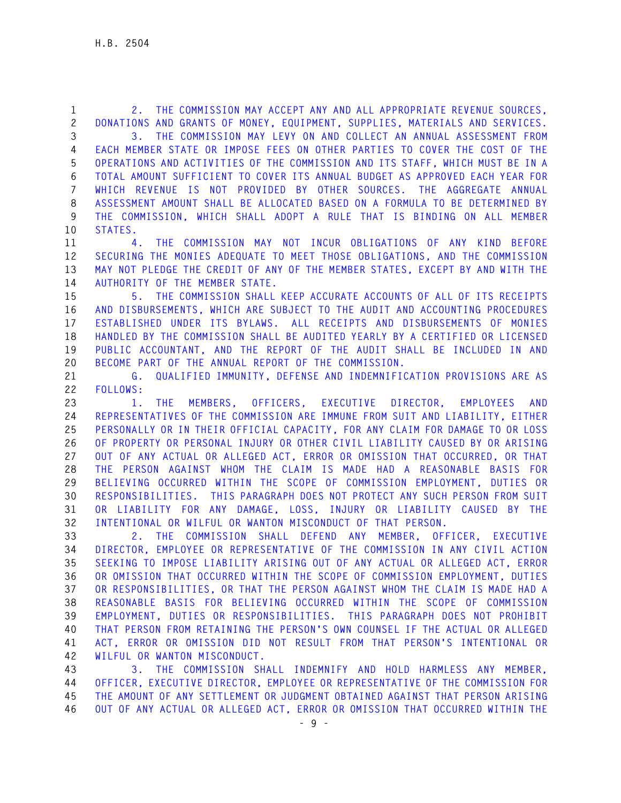**1 2. THE COMMISSION MAY ACCEPT ANY AND ALL APPROPRIATE REVENUE SOURCES, 2 DONATIONS AND GRANTS OF MONEY, EQUIPMENT, SUPPLIES, MATERIALS AND SERVICES. 3 3. THE COMMISSION MAY LEVY ON AND COLLECT AN ANNUAL ASSESSMENT FROM 4 EACH MEMBER STATE OR IMPOSE FEES ON OTHER PARTIES TO COVER THE COST OF THE 5 OPERATIONS AND ACTIVITIES OF THE COMMISSION AND ITS STAFF, WHICH MUST BE IN A 6 TOTAL AMOUNT SUFFICIENT TO COVER ITS ANNUAL BUDGET AS APPROVED EACH YEAR FOR 7 WHICH REVENUE IS NOT PROVIDED BY OTHER SOURCES. THE AGGREGATE ANNUAL 8 ASSESSMENT AMOUNT SHALL BE ALLOCATED BASED ON A FORMULA TO BE DETERMINED BY 9 THE COMMISSION, WHICH SHALL ADOPT A RULE THAT IS BINDING ON ALL MEMBER 10 STATES. 11 4. THE COMMISSION MAY NOT INCUR OBLIGATIONS OF ANY KIND BEFORE 12 SECURING THE MONIES ADEQUATE TO MEET THOSE OBLIGATIONS, AND THE COMMISSION 13 MAY NOT PLEDGE THE CREDIT OF ANY OF THE MEMBER STATES, EXCEPT BY AND WITH THE 14 AUTHORITY OF THE MEMBER STATE. 15 5. THE COMMISSION SHALL KEEP ACCURATE ACCOUNTS OF ALL OF ITS RECEIPTS 16 AND DISBURSEMENTS, WHICH ARE SUBJECT TO THE AUDIT AND ACCOUNTING PROCEDURES 17 ESTABLISHED UNDER ITS BYLAWS. ALL RECEIPTS AND DISBURSEMENTS OF MONIES 18 HANDLED BY THE COMMISSION SHALL BE AUDITED YEARLY BY A CERTIFIED OR LICENSED 19 PUBLIC ACCOUNTANT, AND THE REPORT OF THE AUDIT SHALL BE INCLUDED IN AND 20 BECOME PART OF THE ANNUAL REPORT OF THE COMMISSION. 21 G. QUALIFIED IMMUNITY, DEFENSE AND INDEMNIFICATION PROVISIONS ARE AS 22 FOLLOWS: 23 1. THE MEMBERS, OFFICERS, EXECUTIVE DIRECTOR, EMPLOYEES AND 24 REPRESENTATIVES OF THE COMMISSION ARE IMMUNE FROM SUIT AND LIABILITY, EITHER 25 PERSONALLY OR IN THEIR OFFICIAL CAPACITY, FOR ANY CLAIM FOR DAMAGE TO OR LOSS 26 OF PROPERTY OR PERSONAL INJURY OR OTHER CIVIL LIABILITY CAUSED BY OR ARISING 27 OUT OF ANY ACTUAL OR ALLEGED ACT, ERROR OR OMISSION THAT OCCURRED, OR THAT 28 THE PERSON AGAINST WHOM THE CLAIM IS MADE HAD A REASONABLE BASIS FOR 29 BELIEVING OCCURRED WITHIN THE SCOPE OF COMMISSION EMPLOYMENT, DUTIES OR 30 RESPONSIBILITIES. THIS PARAGRAPH DOES NOT PROTECT ANY SUCH PERSON FROM SUIT 31 OR LIABILITY FOR ANY DAMAGE, LOSS, INJURY OR LIABILITY CAUSED BY THE 32 INTENTIONAL OR WILFUL OR WANTON MISCONDUCT OF THAT PERSON. 33 2. THE COMMISSION SHALL DEFEND ANY MEMBER, OFFICER, EXECUTIVE 34 DIRECTOR, EMPLOYEE OR REPRESENTATIVE OF THE COMMISSION IN ANY CIVIL ACTION 35 SEEKING TO IMPOSE LIABILITY ARISING OUT OF ANY ACTUAL OR ALLEGED ACT, ERROR 36 OR OMISSION THAT OCCURRED WITHIN THE SCOPE OF COMMISSION EMPLOYMENT, DUTIES 37 OR RESPONSIBILITIES, OR THAT THE PERSON AGAINST WHOM THE CLAIM IS MADE HAD A 38 REASONABLE BASIS FOR BELIEVING OCCURRED WITHIN THE SCOPE OF COMMISSION 39 EMPLOYMENT, DUTIES OR RESPONSIBILITIES. THIS PARAGRAPH DOES NOT PROHIBIT 40 THAT PERSON FROM RETAINING THE PERSON'S OWN COUNSEL IF THE ACTUAL OR ALLEGED 41 ACT, ERROR OR OMISSION DID NOT RESULT FROM THAT PERSON'S INTENTIONAL OR** 

**42 WILFUL OR WANTON MISCONDUCT.** 

**43 3. THE COMMISSION SHALL INDEMNIFY AND HOLD HARMLESS ANY MEMBER, 44 OFFICER, EXECUTIVE DIRECTOR, EMPLOYEE OR REPRESENTATIVE OF THE COMMISSION FOR 45 THE AMOUNT OF ANY SETTLEMENT OR JUDGMENT OBTAINED AGAINST THAT PERSON ARISING 46 OUT OF ANY ACTUAL OR ALLEGED ACT, ERROR OR OMISSION THAT OCCURRED WITHIN THE**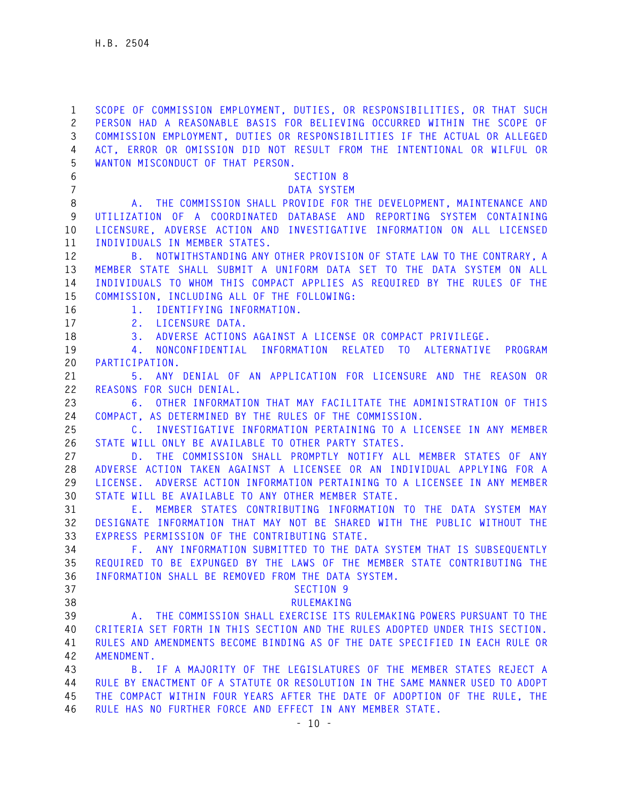**1 SCOPE OF COMMISSION EMPLOYMENT, DUTIES, OR RESPONSIBILITIES, OR THAT SUCH 2 PERSON HAD A REASONABLE BASIS FOR BELIEVING OCCURRED WITHIN THE SCOPE OF 3 COMMISSION EMPLOYMENT, DUTIES OR RESPONSIBILITIES IF THE ACTUAL OR ALLEGED 4 ACT, ERROR OR OMISSION DID NOT RESULT FROM THE INTENTIONAL OR WILFUL OR 5 WANTON MISCONDUCT OF THAT PERSON. 6 SECTION 8 7 DATA SYSTEM 8 A. THE COMMISSION SHALL PROVIDE FOR THE DEVELOPMENT, MAINTENANCE AND 9 UTILIZATION OF A COORDINATED DATABASE AND REPORTING SYSTEM CONTAINING 10 LICENSURE, ADVERSE ACTION AND INVESTIGATIVE INFORMATION ON ALL LICENSED 11 INDIVIDUALS IN MEMBER STATES. 12 B. NOTWITHSTANDING ANY OTHER PROVISION OF STATE LAW TO THE CONTRARY, A 13 MEMBER STATE SHALL SUBMIT A UNIFORM DATA SET TO THE DATA SYSTEM ON ALL 14 INDIVIDUALS TO WHOM THIS COMPACT APPLIES AS REQUIRED BY THE RULES OF THE 15 COMMISSION, INCLUDING ALL OF THE FOLLOWING: 16 1. IDENTIFYING INFORMATION. 17 2. LICENSURE DATA. 18 3. ADVERSE ACTIONS AGAINST A LICENSE OR COMPACT PRIVILEGE. 19 4. NONCONFIDENTIAL INFORMATION RELATED TO ALTERNATIVE PROGRAM 20 PARTICIPATION. 21 5. ANY DENIAL OF AN APPLICATION FOR LICENSURE AND THE REASON OR 22 REASONS FOR SUCH DENIAL. 23 6. OTHER INFORMATION THAT MAY FACILITATE THE ADMINISTRATION OF THIS 24 COMPACT, AS DETERMINED BY THE RULES OF THE COMMISSION. 25 C. INVESTIGATIVE INFORMATION PERTAINING TO A LICENSEE IN ANY MEMBER 26 STATE WILL ONLY BE AVAILABLE TO OTHER PARTY STATES. 27 D. THE COMMISSION SHALL PROMPTLY NOTIFY ALL MEMBER STATES OF ANY 28 ADVERSE ACTION TAKEN AGAINST A LICENSEE OR AN INDIVIDUAL APPLYING FOR A 29 LICENSE. ADVERSE ACTION INFORMATION PERTAINING TO A LICENSEE IN ANY MEMBER 30 STATE WILL BE AVAILABLE TO ANY OTHER MEMBER STATE. 31 E. MEMBER STATES CONTRIBUTING INFORMATION TO THE DATA SYSTEM MAY 32 DESIGNATE INFORMATION THAT MAY NOT BE SHARED WITH THE PUBLIC WITHOUT THE 33 EXPRESS PERMISSION OF THE CONTRIBUTING STATE. 34 F. ANY INFORMATION SUBMITTED TO THE DATA SYSTEM THAT IS SUBSEQUENTLY 35 REQUIRED TO BE EXPUNGED BY THE LAWS OF THE MEMBER STATE CONTRIBUTING THE 36 INFORMATION SHALL BE REMOVED FROM THE DATA SYSTEM. 37 SECTION 9 38 RULEMAKING 39 A. THE COMMISSION SHALL EXERCISE ITS RULEMAKING POWERS PURSUANT TO THE 40 CRITERIA SET FORTH IN THIS SECTION AND THE RULES ADOPTED UNDER THIS SECTION. 41 RULES AND AMENDMENTS BECOME BINDING AS OF THE DATE SPECIFIED IN EACH RULE OR 42 AMENDMENT. 43 B. IF A MAJORITY OF THE LEGISLATURES OF THE MEMBER STATES REJECT A 44 RULE BY ENACTMENT OF A STATUTE OR RESOLUTION IN THE SAME MANNER USED TO ADOPT 45 THE COMPACT WITHIN FOUR YEARS AFTER THE DATE OF ADOPTION OF THE RULE, THE 46 RULE HAS NO FURTHER FORCE AND EFFECT IN ANY MEMBER STATE.**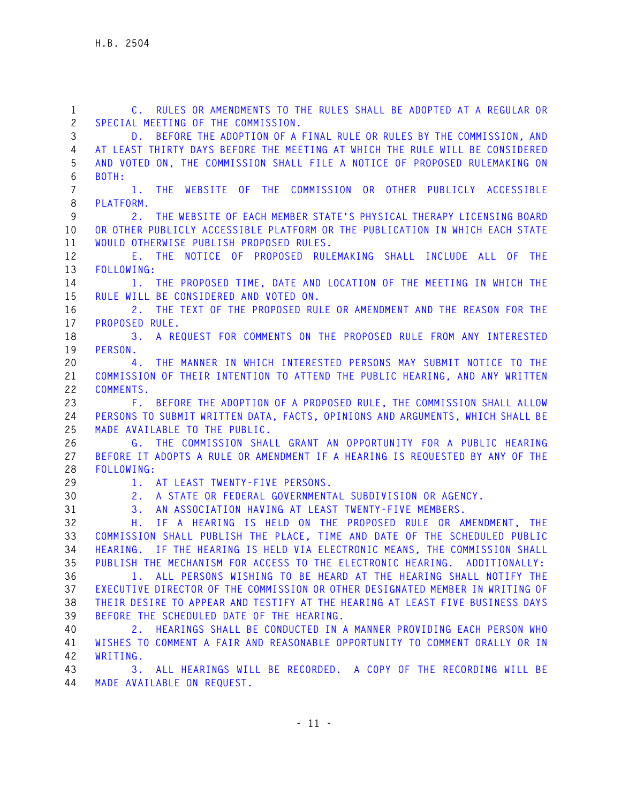**1 C. RULES OR AMENDMENTS TO THE RULES SHALL BE ADOPTED AT A REGULAR OR 2 SPECIAL MEETING OF THE COMMISSION. 3 D. BEFORE THE ADOPTION OF A FINAL RULE OR RULES BY THE COMMISSION, AND 4 AT LEAST THIRTY DAYS BEFORE THE MEETING AT WHICH THE RULE WILL BE CONSIDERED 5 AND VOTED ON, THE COMMISSION SHALL FILE A NOTICE OF PROPOSED RULEMAKING ON 6 BOTH: 7 1. THE WEBSITE OF THE COMMISSION OR OTHER PUBLICLY ACCESSIBLE 8 PLATFORM. 9 2. THE WEBSITE OF EACH MEMBER STATE'S PHYSICAL THERAPY LICENSING BOARD 10 OR OTHER PUBLICLY ACCESSIBLE PLATFORM OR THE PUBLICATION IN WHICH EACH STATE 11 WOULD OTHERWISE PUBLISH PROPOSED RULES. 12 E. THE NOTICE OF PROPOSED RULEMAKING SHALL INCLUDE ALL OF THE 13 FOLLOWING: 14 1. THE PROPOSED TIME, DATE AND LOCATION OF THE MEETING IN WHICH THE 15 RULE WILL BE CONSIDERED AND VOTED ON. 16 2. THE TEXT OF THE PROPOSED RULE OR AMENDMENT AND THE REASON FOR THE 17 PROPOSED RULE. 18 3. A REQUEST FOR COMMENTS ON THE PROPOSED RULE FROM ANY INTERESTED 19 PERSON. 20 4. THE MANNER IN WHICH INTERESTED PERSONS MAY SUBMIT NOTICE TO THE 21 COMMISSION OF THEIR INTENTION TO ATTEND THE PUBLIC HEARING, AND ANY WRITTEN 22 COMMENTS. 23 F. BEFORE THE ADOPTION OF A PROPOSED RULE, THE COMMISSION SHALL ALLOW 24 PERSONS TO SUBMIT WRITTEN DATA, FACTS, OPINIONS AND ARGUMENTS, WHICH SHALL BE 25 MADE AVAILABLE TO THE PUBLIC. 26 G. THE COMMISSION SHALL GRANT AN OPPORTUNITY FOR A PUBLIC HEARING 27 BEFORE IT ADOPTS A RULE OR AMENDMENT IF A HEARING IS REQUESTED BY ANY OF THE 28 FOLLOWING: 29 1. AT LEAST TWENTY-FIVE PERSONS. 30 2. A STATE OR FEDERAL GOVERNMENTAL SUBDIVISION OR AGENCY. 31 3. AN ASSOCIATION HAVING AT LEAST TWENTY-FIVE MEMBERS. 32 H. IF A HEARING IS HELD ON THE PROPOSED RULE OR AMENDMENT, THE 33 COMMISSION SHALL PUBLISH THE PLACE, TIME AND DATE OF THE SCHEDULED PUBLIC 34 HEARING. IF THE HEARING IS HELD VIA ELECTRONIC MEANS, THE COMMISSION SHALL 35 PUBLISH THE MECHANISM FOR ACCESS TO THE ELECTRONIC HEARING. ADDITIONALLY: 36 1. ALL PERSONS WISHING TO BE HEARD AT THE HEARING SHALL NOTIFY THE 37 EXECUTIVE DIRECTOR OF THE COMMISSION OR OTHER DESIGNATED MEMBER IN WRITING OF 38 THEIR DESIRE TO APPEAR AND TESTIFY AT THE HEARING AT LEAST FIVE BUSINESS DAYS 39 BEFORE THE SCHEDULED DATE OF THE HEARING. 40 2. HEARINGS SHALL BE CONDUCTED IN A MANNER PROVIDING EACH PERSON WHO 41 WISHES TO COMMENT A FAIR AND REASONABLE OPPORTUNITY TO COMMENT ORALLY OR IN 42 WRITING. 43 3. ALL HEARINGS WILL BE RECORDED. A COPY OF THE RECORDING WILL BE 44 MADE AVAILABLE ON REQUEST.**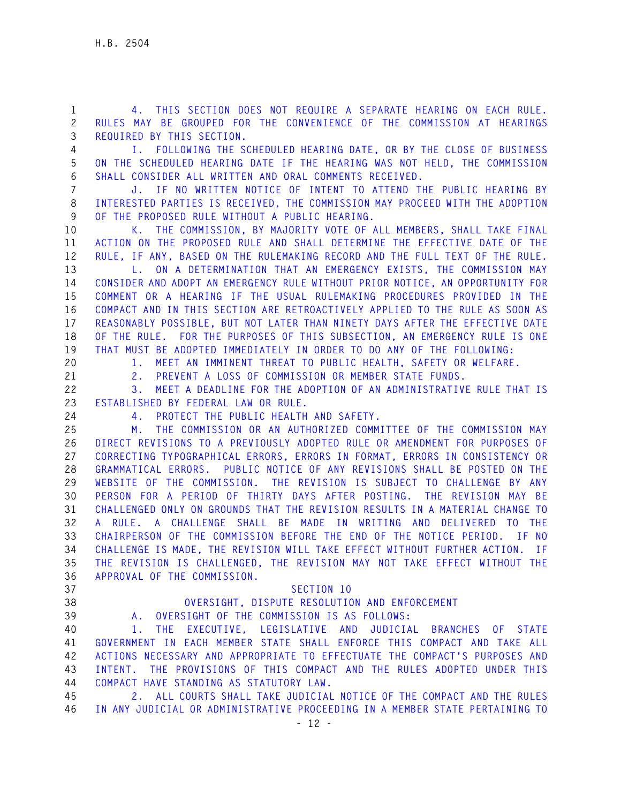**1 4. THIS SECTION DOES NOT REQUIRE A SEPARATE HEARING ON EACH RULE. 2 RULES MAY BE GROUPED FOR THE CONVENIENCE OF THE COMMISSION AT HEARINGS 3 REQUIRED BY THIS SECTION.** 

**4 I. FOLLOWING THE SCHEDULED HEARING DATE, OR BY THE CLOSE OF BUSINESS 5 ON THE SCHEDULED HEARING DATE IF THE HEARING WAS NOT HELD, THE COMMISSION 6 SHALL CONSIDER ALL WRITTEN AND ORAL COMMENTS RECEIVED.** 

**7 J. IF NO WRITTEN NOTICE OF INTENT TO ATTEND THE PUBLIC HEARING BY 8 INTERESTED PARTIES IS RECEIVED, THE COMMISSION MAY PROCEED WITH THE ADOPTION 9 OF THE PROPOSED RULE WITHOUT A PUBLIC HEARING.** 

**10 K. THE COMMISSION, BY MAJORITY VOTE OF ALL MEMBERS, SHALL TAKE FINAL 11 ACTION ON THE PROPOSED RULE AND SHALL DETERMINE THE EFFECTIVE DATE OF THE 12 RULE, IF ANY, BASED ON THE RULEMAKING RECORD AND THE FULL TEXT OF THE RULE.** 

**13 L. ON A DETERMINATION THAT AN EMERGENCY EXISTS, THE COMMISSION MAY 14 CONSIDER AND ADOPT AN EMERGENCY RULE WITHOUT PRIOR NOTICE, AN OPPORTUNITY FOR 15 COMMENT OR A HEARING IF THE USUAL RULEMAKING PROCEDURES PROVIDED IN THE 16 COMPACT AND IN THIS SECTION ARE RETROACTIVELY APPLIED TO THE RULE AS SOON AS 17 REASONABLY POSSIBLE, BUT NOT LATER THAN NINETY DAYS AFTER THE EFFECTIVE DATE 18 OF THE RULE. FOR THE PURPOSES OF THIS SUBSECTION, AN EMERGENCY RULE IS ONE 19 THAT MUST BE ADOPTED IMMEDIATELY IN ORDER TO DO ANY OF THE FOLLOWING:** 

**20 1. MEET AN IMMINENT THREAT TO PUBLIC HEALTH, SAFETY OR WELFARE.** 

**21 2. PREVENT A LOSS OF COMMISSION OR MEMBER STATE FUNDS.** 

**22 3. MEET A DEADLINE FOR THE ADOPTION OF AN ADMINISTRATIVE RULE THAT IS 23 ESTABLISHED BY FEDERAL LAW OR RULE.** 

**24 4. PROTECT THE PUBLIC HEALTH AND SAFETY.** 

**25 M. THE COMMISSION OR AN AUTHORIZED COMMITTEE OF THE COMMISSION MAY 26 DIRECT REVISIONS TO A PREVIOUSLY ADOPTED RULE OR AMENDMENT FOR PURPOSES OF 27 CORRECTING TYPOGRAPHICAL ERRORS, ERRORS IN FORMAT, ERRORS IN CONSISTENCY OR 28 GRAMMATICAL ERRORS. PUBLIC NOTICE OF ANY REVISIONS SHALL BE POSTED ON THE 29 WEBSITE OF THE COMMISSION. THE REVISION IS SUBJECT TO CHALLENGE BY ANY 30 PERSON FOR A PERIOD OF THIRTY DAYS AFTER POSTING. THE REVISION MAY BE 31 CHALLENGED ONLY ON GROUNDS THAT THE REVISION RESULTS IN A MATERIAL CHANGE TO 32 A RULE. A CHALLENGE SHALL BE MADE IN WRITING AND DELIVERED TO THE 33 CHAIRPERSON OF THE COMMISSION BEFORE THE END OF THE NOTICE PERIOD. IF NO 34 CHALLENGE IS MADE, THE REVISION WILL TAKE EFFECT WITHOUT FURTHER ACTION. IF 35 THE REVISION IS CHALLENGED, THE REVISION MAY NOT TAKE EFFECT WITHOUT THE 36 APPROVAL OF THE COMMISSION.** 

- **37 SECTION 10**
- 

**38 OVERSIGHT, DISPUTE RESOLUTION AND ENFORCEMENT** 

**39 A. OVERSIGHT OF THE COMMISSION IS AS FOLLOWS:** 

**40 1. THE EXECUTIVE, LEGISLATIVE AND JUDICIAL BRANCHES OF STATE 41 GOVERNMENT IN EACH MEMBER STATE SHALL ENFORCE THIS COMPACT AND TAKE ALL 42 ACTIONS NECESSARY AND APPROPRIATE TO EFFECTUATE THE COMPACT'S PURPOSES AND 43 INTENT. THE PROVISIONS OF THIS COMPACT AND THE RULES ADOPTED UNDER THIS 44 COMPACT HAVE STANDING AS STATUTORY LAW.** 

**45 2. ALL COURTS SHALL TAKE JUDICIAL NOTICE OF THE COMPACT AND THE RULES 46 IN ANY JUDICIAL OR ADMINISTRATIVE PROCEEDING IN A MEMBER STATE PERTAINING TO**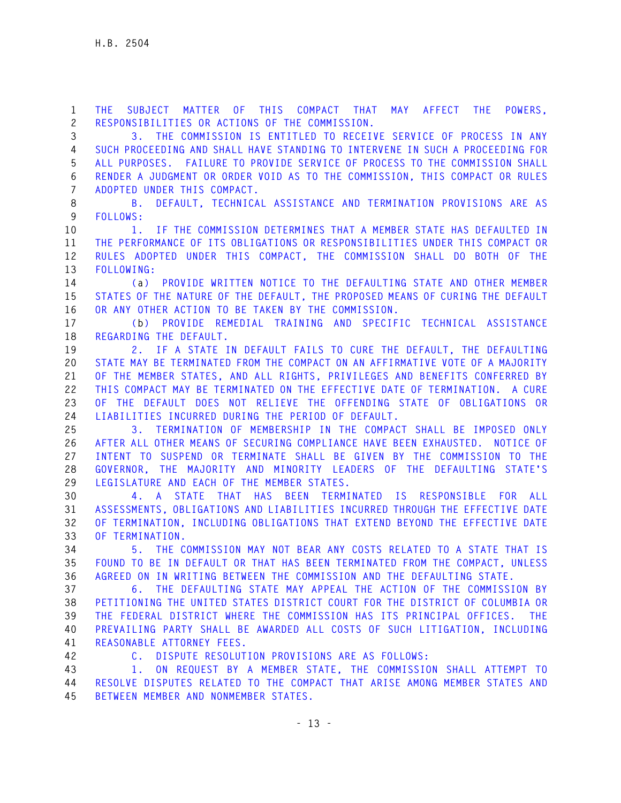**1 THE SUBJECT MATTER OF THIS COMPACT THAT MAY AFFECT THE POWERS, 2 RESPONSIBILITIES OR ACTIONS OF THE COMMISSION.** 

**3 3. THE COMMISSION IS ENTITLED TO RECEIVE SERVICE OF PROCESS IN ANY 4 SUCH PROCEEDING AND SHALL HAVE STANDING TO INTERVENE IN SUCH A PROCEEDING FOR 5 ALL PURPOSES. FAILURE TO PROVIDE SERVICE OF PROCESS TO THE COMMISSION SHALL 6 RENDER A JUDGMENT OR ORDER VOID AS TO THE COMMISSION, THIS COMPACT OR RULES 7 ADOPTED UNDER THIS COMPACT.** 

**8 B. DEFAULT, TECHNICAL ASSISTANCE AND TERMINATION PROVISIONS ARE AS 9 FOLLOWS:** 

**10 1. IF THE COMMISSION DETERMINES THAT A MEMBER STATE HAS DEFAULTED IN 11 THE PERFORMANCE OF ITS OBLIGATIONS OR RESPONSIBILITIES UNDER THIS COMPACT OR 12 RULES ADOPTED UNDER THIS COMPACT, THE COMMISSION SHALL DO BOTH OF THE 13 FOLLOWING:** 

**14 (a) PROVIDE WRITTEN NOTICE TO THE DEFAULTING STATE AND OTHER MEMBER 15 STATES OF THE NATURE OF THE DEFAULT, THE PROPOSED MEANS OF CURING THE DEFAULT 16 OR ANY OTHER ACTION TO BE TAKEN BY THE COMMISSION.** 

**17 (b) PROVIDE REMEDIAL TRAINING AND SPECIFIC TECHNICAL ASSISTANCE 18 REGARDING THE DEFAULT.** 

**19 2. IF A STATE IN DEFAULT FAILS TO CURE THE DEFAULT, THE DEFAULTING 20 STATE MAY BE TERMINATED FROM THE COMPACT ON AN AFFIRMATIVE VOTE OF A MAJORITY 21 OF THE MEMBER STATES, AND ALL RIGHTS, PRIVILEGES AND BENEFITS CONFERRED BY 22 THIS COMPACT MAY BE TERMINATED ON THE EFFECTIVE DATE OF TERMINATION. A CURE 23 OF THE DEFAULT DOES NOT RELIEVE THE OFFENDING STATE OF OBLIGATIONS OR 24 LIABILITIES INCURRED DURING THE PERIOD OF DEFAULT.** 

**25 3. TERMINATION OF MEMBERSHIP IN THE COMPACT SHALL BE IMPOSED ONLY 26 AFTER ALL OTHER MEANS OF SECURING COMPLIANCE HAVE BEEN EXHAUSTED. NOTICE OF 27 INTENT TO SUSPEND OR TERMINATE SHALL BE GIVEN BY THE COMMISSION TO THE 28 GOVERNOR, THE MAJORITY AND MINORITY LEADERS OF THE DEFAULTING STATE'S 29 LEGISLATURE AND EACH OF THE MEMBER STATES.** 

**30 4. A STATE THAT HAS BEEN TERMINATED IS RESPONSIBLE FOR ALL 31 ASSESSMENTS, OBLIGATIONS AND LIABILITIES INCURRED THROUGH THE EFFECTIVE DATE 32 OF TERMINATION, INCLUDING OBLIGATIONS THAT EXTEND BEYOND THE EFFECTIVE DATE 33 OF TERMINATION.** 

**34 5. THE COMMISSION MAY NOT BEAR ANY COSTS RELATED TO A STATE THAT IS 35 FOUND TO BE IN DEFAULT OR THAT HAS BEEN TERMINATED FROM THE COMPACT, UNLESS 36 AGREED ON IN WRITING BETWEEN THE COMMISSION AND THE DEFAULTING STATE.** 

**37 6. THE DEFAULTING STATE MAY APPEAL THE ACTION OF THE COMMISSION BY 38 PETITIONING THE UNITED STATES DISTRICT COURT FOR THE DISTRICT OF COLUMBIA OR 39 THE FEDERAL DISTRICT WHERE THE COMMISSION HAS ITS PRINCIPAL OFFICES. THE 40 PREVAILING PARTY SHALL BE AWARDED ALL COSTS OF SUCH LITIGATION, INCLUDING 41 REASONABLE ATTORNEY FEES.** 

**42 C. DISPUTE RESOLUTION PROVISIONS ARE AS FOLLOWS:** 

**43 1. ON REQUEST BY A MEMBER STATE, THE COMMISSION SHALL ATTEMPT TO 44 RESOLVE DISPUTES RELATED TO THE COMPACT THAT ARISE AMONG MEMBER STATES AND 45 BETWEEN MEMBER AND NONMEMBER STATES.**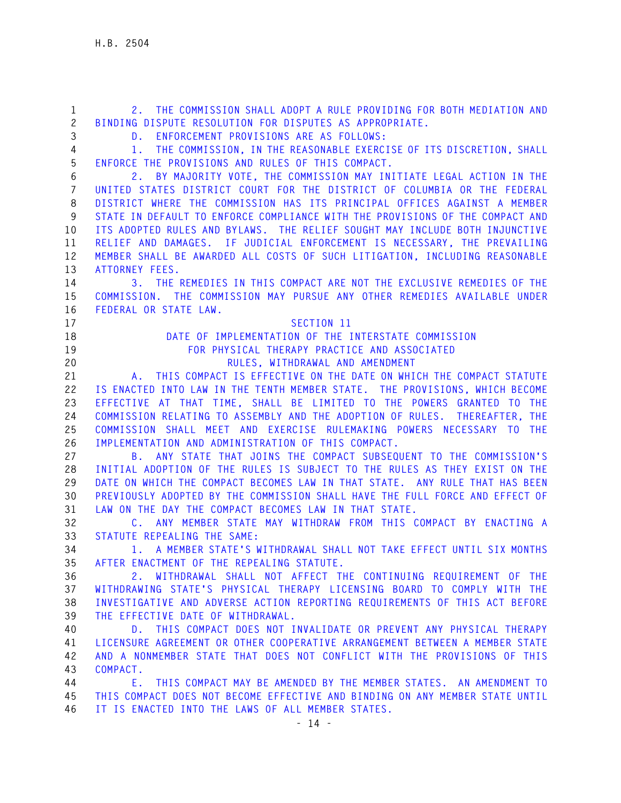**1 2. THE COMMISSION SHALL ADOPT A RULE PROVIDING FOR BOTH MEDIATION AND 2 BINDING DISPUTE RESOLUTION FOR DISPUTES AS APPROPRIATE. 3 D. ENFORCEMENT PROVISIONS ARE AS FOLLOWS: 4 1. THE COMMISSION, IN THE REASONABLE EXERCISE OF ITS DISCRETION, SHALL 5 ENFORCE THE PROVISIONS AND RULES OF THIS COMPACT. 6 2. BY MAJORITY VOTE, THE COMMISSION MAY INITIATE LEGAL ACTION IN THE 7 UNITED STATES DISTRICT COURT FOR THE DISTRICT OF COLUMBIA OR THE FEDERAL 8 DISTRICT WHERE THE COMMISSION HAS ITS PRINCIPAL OFFICES AGAINST A MEMBER 9 STATE IN DEFAULT TO ENFORCE COMPLIANCE WITH THE PROVISIONS OF THE COMPACT AND 10 ITS ADOPTED RULES AND BYLAWS. THE RELIEF SOUGHT MAY INCLUDE BOTH INJUNCTIVE 11 RELIEF AND DAMAGES. IF JUDICIAL ENFORCEMENT IS NECESSARY, THE PREVAILING 12 MEMBER SHALL BE AWARDED ALL COSTS OF SUCH LITIGATION, INCLUDING REASONABLE 13 ATTORNEY FEES. 14 3. THE REMEDIES IN THIS COMPACT ARE NOT THE EXCLUSIVE REMEDIES OF THE 15 COMMISSION. THE COMMISSION MAY PURSUE ANY OTHER REMEDIES AVAILABLE UNDER 16 FEDERAL OR STATE LAW. 17 SECTION 11 18 DATE OF IMPLEMENTATION OF THE INTERSTATE COMMISSION 19 FOR PHYSICAL THERAPY PRACTICE AND ASSOCIATED 20 RULES, WITHDRAWAL AND AMENDMENT 21 A. THIS COMPACT IS EFFECTIVE ON THE DATE ON WHICH THE COMPACT STATUTE 22 IS ENACTED INTO LAW IN THE TENTH MEMBER STATE. THE PROVISIONS, WHICH BECOME 23 EFFECTIVE AT THAT TIME, SHALL BE LIMITED TO THE POWERS GRANTED TO THE 24 COMMISSION RELATING TO ASSEMBLY AND THE ADOPTION OF RULES. THEREAFTER, THE 25 COMMISSION SHALL MEET AND EXERCISE RULEMAKING POWERS NECESSARY TO THE 26 IMPLEMENTATION AND ADMINISTRATION OF THIS COMPACT. 27 B. ANY STATE THAT JOINS THE COMPACT SUBSEQUENT TO THE COMMISSION'S 28 INITIAL ADOPTION OF THE RULES IS SUBJECT TO THE RULES AS THEY EXIST ON THE 29 DATE ON WHICH THE COMPACT BECOMES LAW IN THAT STATE. ANY RULE THAT HAS BEEN 30 PREVIOUSLY ADOPTED BY THE COMMISSION SHALL HAVE THE FULL FORCE AND EFFECT OF 31 LAW ON THE DAY THE COMPACT BECOMES LAW IN THAT STATE. 32 C. ANY MEMBER STATE MAY WITHDRAW FROM THIS COMPACT BY ENACTING A 33 STATUTE REPEALING THE SAME: 34 1. A MEMBER STATE'S WITHDRAWAL SHALL NOT TAKE EFFECT UNTIL SIX MONTHS 35 AFTER ENACTMENT OF THE REPEALING STATUTE. 36 2. WITHDRAWAL SHALL NOT AFFECT THE CONTINUING REQUIREMENT OF THE 37 WITHDRAWING STATE'S PHYSICAL THERAPY LICENSING BOARD TO COMPLY WITH THE 38 INVESTIGATIVE AND ADVERSE ACTION REPORTING REQUIREMENTS OF THIS ACT BEFORE 39 THE EFFECTIVE DATE OF WITHDRAWAL. 40 D. THIS COMPACT DOES NOT INVALIDATE OR PREVENT ANY PHYSICAL THERAPY 41 LICENSURE AGREEMENT OR OTHER COOPERATIVE ARRANGEMENT BETWEEN A MEMBER STATE 42 AND A NONMEMBER STATE THAT DOES NOT CONFLICT WITH THE PROVISIONS OF THIS 43 COMPACT. 44 E. THIS COMPACT MAY BE AMENDED BY THE MEMBER STATES. AN AMENDMENT TO 45 THIS COMPACT DOES NOT BECOME EFFECTIVE AND BINDING ON ANY MEMBER STATE UNTIL 46 IT IS ENACTED INTO THE LAWS OF ALL MEMBER STATES.**